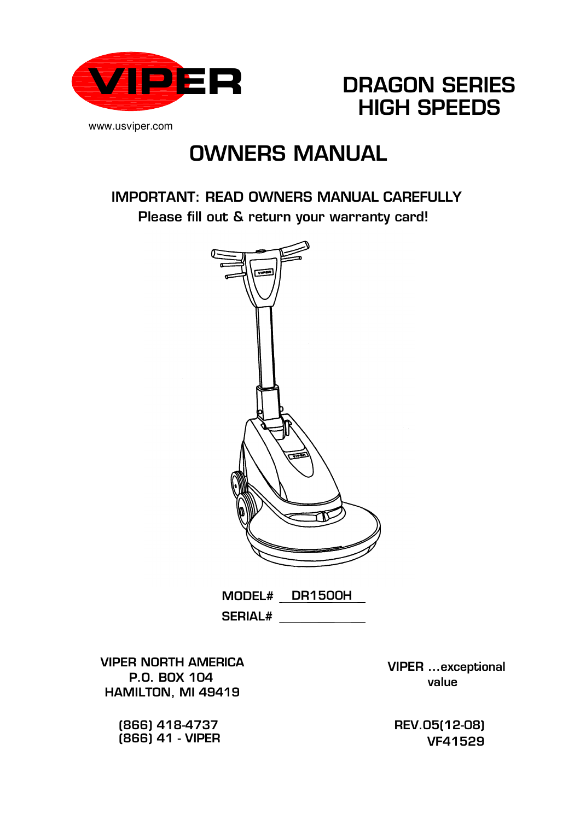

DRAGON SERIES HIGH SPEEDS

# OWNERS MANUAL

IMPORTANT: READ OWNERS MANUAL CAREFULLY Please fill out & return your warranty card!



SERIAL# MODEL# DR1500H

VIPER NORTH AMERICA P.O. BOX 104 HAMILTON, MI 49419

> (866) 418-4737 (866) 41 - VIPER

VIPER ...exceptional value

VF41529 REV.05(12-08)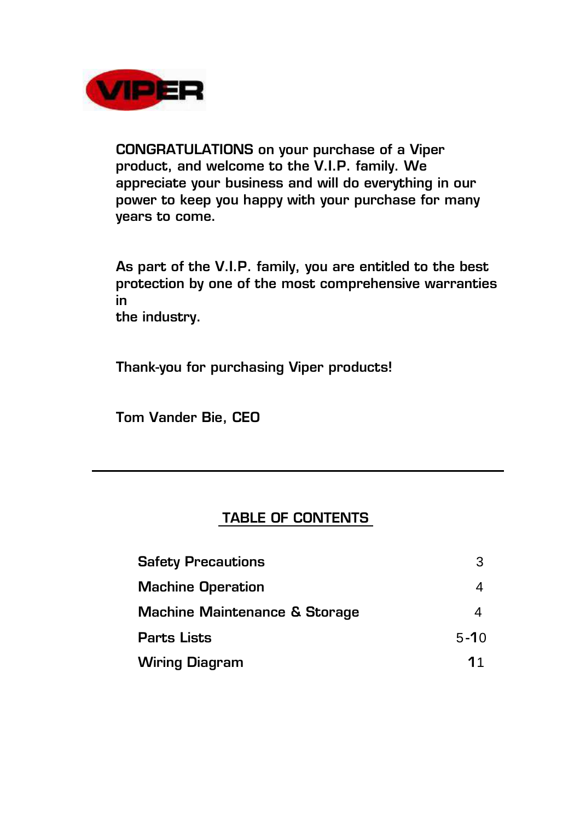

CONGRATULATIONS on your purchase of a Viper product, and welcome to the V.I.P. family. We appreciate your business and will do everything in our power to keep you happy with your purchase for many years to come.

As part of the V.I.P. family, you are entitled to the best protection by one of the most comprehensive warranties in

the industry.

Thank-you for purchasing Viper products!

Tom Vander Bie, CEO

### TABLE OF CONTENTS Ī

| <b>Safety Precautions</b>                | 3        |
|------------------------------------------|----------|
| <b>Machine Operation</b>                 |          |
| <b>Machine Maintenance &amp; Storage</b> |          |
| <b>Parts Lists</b>                       | $5 - 10$ |
| <b>Wiring Diagram</b>                    | 11       |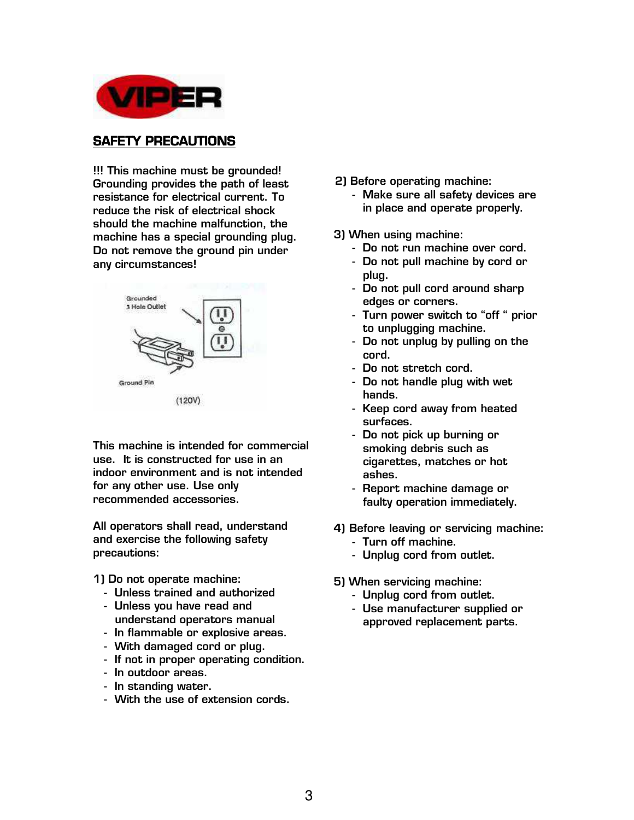

### **SAFETY PRECAUTIONS**

!!! This machine must be grounded! Grounding provides the path of least resistance for electrical current. To reduce the risk of electrical shock should the machine malfunction, the machine has a special grounding plug. Do not remove the ground pin under any circumstances!



This machine is intended for commercial use. It is constructed for use in an indoor environment and is not intended for any other use. Use only recommended accessories.

All operators shall read, understand and exercise the following safety precautions:

#### 1) Do not operate machine:

- Unless trained and authorized
- Unless you have read and understand operators manual
- In flammable or explosive areas.
- With damaged cord or plug.
- If not in proper operating condition.
- In outdoor areas.
- In standing water.
- With the use of extension cords.
- 2) Before operating machine:
	- Make sure all safety devices are in place and operate properly.
- 3) When using machine:
	- Do not run machine over cord.
	- Do not pull machine by cord or plug.
	- Do not pull cord around sharp edges or corners.
	- Turn power switch to "off " prior to unplugging machine.
	- Do not unplug by pulling on the cord.
	- Do not stretch cord.
	- Do not handle plug with wet hands.
	- Keep cord away from heated surfaces.
	- Do not pick up burning or smoking debris such as cigarettes, matches or hot ashes.
	- Report machine damage or faulty operation immediately.
- 4) Before leaving or servicing machine:
	- Turn off machine.
	- Unplug cord from outlet.
- 5) When servicing machine:
	- Unplug cord from outlet.
	- Use manufacturer supplied or approved replacement parts.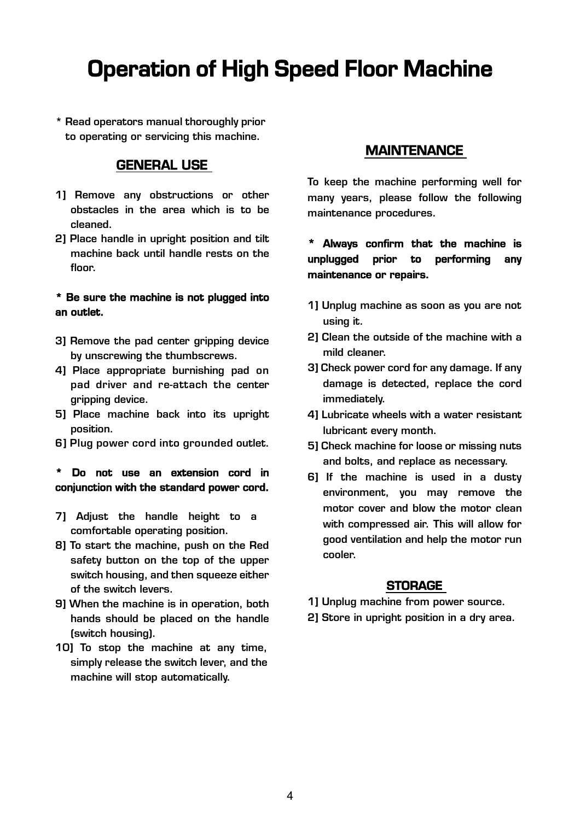# **Operation of High Speed Floor Machine**

\* Read operators manual thoroughly prior to operating or servicing this machine.

#### **GENERAL USE**

- 1] Remove any obstructions or other obstacles in the area which is to be cleaned.
- 2] Place handle in upright position and tilt machine back until handle rests on the floor.

#### **\* Be sure the machine is not plugged into an outlet.**

- 3] Remove the pad center gripping device by unscrewing the thumbscrews.
- 4] Place appropriate burnishing pad on pad driver and re-attach the center gripping device.
- 5] Place machine back into its upright position.
- 6] Plug power cord into grounded outlet.

#### **\* Do not use an extension cord in conjunction with the standard power cord.**

- 7] Adjust the handle height to a comfortable operating position.
- 8] To start the machine, push on the Red safety button on the top of the upper switch housing, and then squeeze either of the switch levers.
- 9] When the machine is in operation, both hands should be placed on the handle (switch housing).
- 10] To stop the machine at any time, simply release the switch lever, and the machine will stop automatically.

### **MAINTENANCE**

To keep the machine performing well for many years, please follow the following maintenance procedures.

### **\* Always confirm that the machine is unplugged prior to performing any maintenance or repairs.**

- 1] Unplug machine as soon as you are not using it.
- 2] Clean the outside of the machine with a mild cleaner.
- 3] Check power cord for any damage. If any damage is detected, replace the cord immediately.
- 4] Lubricate wheels with a water resistant lubricant every month.
- 5] Check machine for loose or missing nuts and bolts, and replace as necessary.
- 6] If the machine is used in a dusty environment, you may remove the motor cover and blow the motor clean with compressed air. This will allow for good ventilation and help the motor run cooler.

#### **STORAGE**

- 1] Unplug machine from power source.
- 2] Store in upright position in a dry area.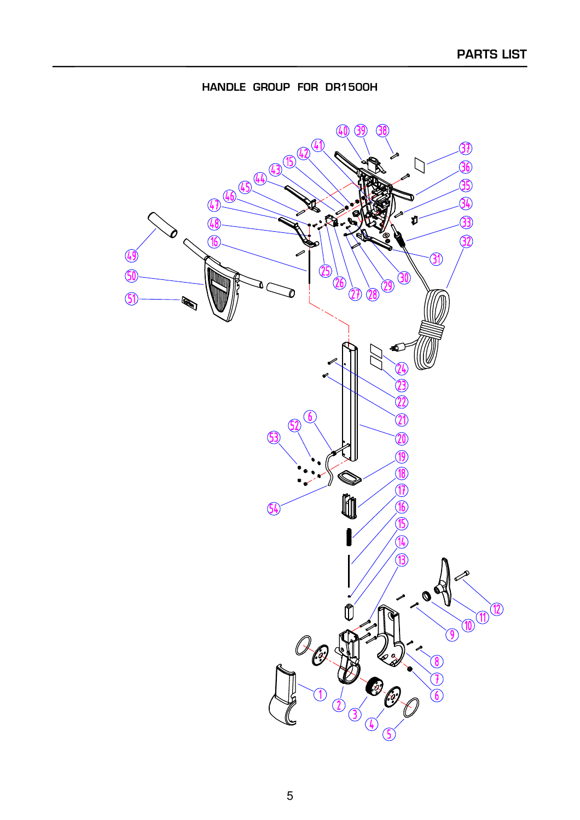

HANDLE GROUP FOR DR1500H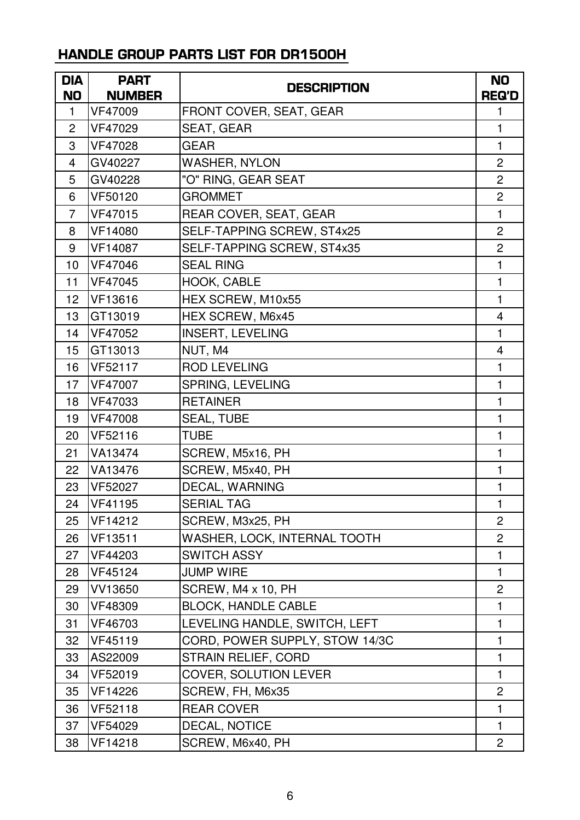## **HANDLE GROUP PARTS LIST FOR DR1500H**

| <b>DIA</b>     | <b>PART</b>   | <b>DESCRIPTION</b>             | <b>NO</b>      |
|----------------|---------------|--------------------------------|----------------|
| <b>NO</b>      | <b>NUMBER</b> |                                | <b>REQ'D</b>   |
| 1              | VF47009       | FRONT COVER, SEAT, GEAR        |                |
| $\overline{2}$ | VF47029       | <b>SEAT, GEAR</b>              | 1              |
| 3              | VF47028       | <b>GEAR</b>                    | 1              |
| 4              | GV40227       | WASHER, NYLON                  | $\overline{c}$ |
| 5              | GV40228       | "O" RING, GEAR SEAT            | $\overline{2}$ |
| 6              | VF50120       | <b>GROMMET</b>                 | $\overline{2}$ |
| 7              | VF47015       | REAR COVER, SEAT, GEAR         | 1              |
| 8              | VF14080       | SELF-TAPPING SCREW, ST4x25     | $\overline{c}$ |
| 9              | VF14087       | SELF-TAPPING SCREW, ST4x35     | $\overline{2}$ |
| 10             | VF47046       | <b>SEAL RING</b>               | 1              |
| 11             | VF47045       | HOOK, CABLE                    | 1              |
| 12             | VF13616       | HEX SCREW, M10x55              | 1              |
| 13             | GT13019       | HEX SCREW, M6x45               | $\overline{4}$ |
| 14             | VF47052       | <b>INSERT, LEVELING</b>        | 1              |
| 15             | GT13013       | NUT, M4                        | 4              |
| 16             | VF52117       | <b>ROD LEVELING</b>            |                |
| 17             | VF47007       | SPRING, LEVELING               | 1              |
| 18             | VF47033       | <b>RETAINER</b>                | 1              |
| 19             | VF47008       | <b>SEAL, TUBE</b>              | 1              |
| 20             | VF52116       | <b>TUBE</b>                    | 1              |
| 21             | VA13474       | SCREW, M5x16, PH               | 1              |
| 22             | VA13476       | SCREW, M5x40, PH               |                |
| 23             | VF52027       | DECAL, WARNING                 |                |
| 24             | VF41195       | <b>SERIAL TAG</b>              | 1              |
| 25             | VF14212       | SCREW, M3x25, PH               | $\overline{2}$ |
| 26             | VF13511       | WASHER, LOCK, INTERNAL TOOTH   | $\overline{2}$ |
| 27             | VF44203       | <b>SWITCH ASSY</b>             |                |
| 28             | VF45124       | <b>JUMP WIRE</b>               | 1              |
| 29             | VV13650       | SCREW, M4 x 10, PH             | $\overline{2}$ |
| 30             | VF48309       | <b>BLOCK, HANDLE CABLE</b>     | 1              |
| 31             | VF46703       | LEVELING HANDLE, SWITCH, LEFT  | 1              |
| 32             | VF45119       | CORD, POWER SUPPLY, STOW 14/3C | 1              |
| 33             | AS22009       | <b>STRAIN RELIEF, CORD</b>     | 1              |
| 34             | VF52019       | <b>COVER, SOLUTION LEVER</b>   | 1              |
| 35             | VF14226       | SCREW, FH, M6x35               | $\overline{2}$ |
| 36             | VF52118       | <b>REAR COVER</b>              | 1              |
| 37             | VF54029       | <b>DECAL, NOTICE</b>           | $\mathbf{1}$   |
| 38             | VF14218       | SCREW, M6x40, PH               | $\overline{2}$ |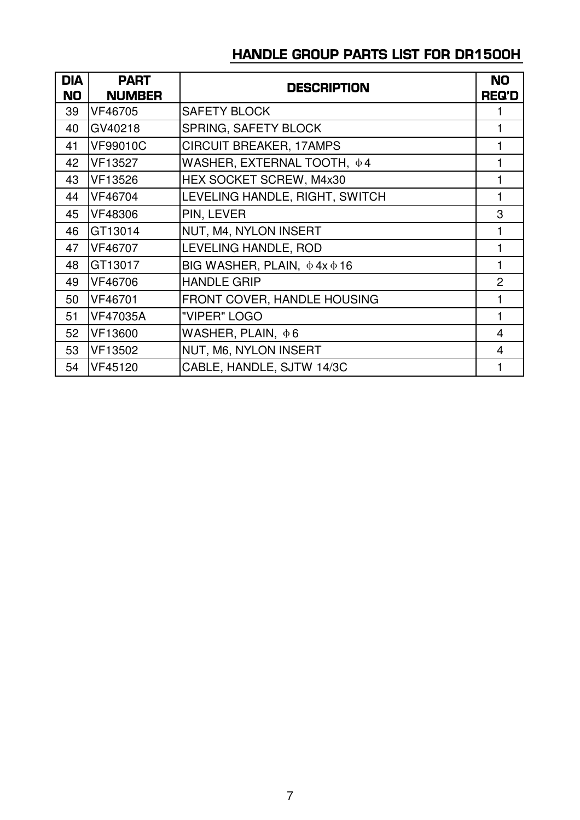## **HANDLE GROUP PARTS LIST FOR DR1500H**

| <b>DIA</b><br><b>NO</b> | <b>PART</b><br><b>NUMBER</b> | <b>DESCRIPTION</b>                     | <b>NO</b><br><b>REQ'D</b> |
|-------------------------|------------------------------|----------------------------------------|---------------------------|
| 39                      | VF46705                      | <b>SAFETY BLOCK</b>                    |                           |
| 40                      | GV40218                      | SPRING, SAFETY BLOCK                   |                           |
| 41                      | <b>VF99010C</b>              | CIRCUIT BREAKER, 17AMPS                |                           |
| 42                      | VF13527                      | WASHER, EXTERNAL TOOTH, $\Phi$ 4       |                           |
| 43                      | VF13526                      | HEX SOCKET SCREW, M4x30                |                           |
| 44                      | VF46704                      | LEVELING HANDLE, RIGHT, SWITCH         |                           |
| 45                      | VF48306                      | PIN, LEVER                             | 3                         |
| 46                      | GT13014                      | NUT, M4, NYLON INSERT                  |                           |
| 47                      | VF46707                      | LEVELING HANDLE, ROD                   |                           |
| 48                      | GT13017                      | BIG WASHER, PLAIN, $\phi$ 4x $\phi$ 16 |                           |
| 49                      | VF46706                      | <b>HANDLE GRIP</b>                     | $\overline{2}$            |
| 50                      | VF46701                      | FRONT COVER, HANDLE HOUSING            |                           |
| 51                      | VF47035A                     | "VIPER" LOGO                           |                           |
| 52                      | VF13600                      | WASHER, PLAIN, $\Phi$ 6                | 4                         |
| 53                      | VF13502                      | NUT, M6, NYLON INSERT                  | 4                         |
| 54                      | VF45120                      | CABLE, HANDLE, SJTW 14/3C              |                           |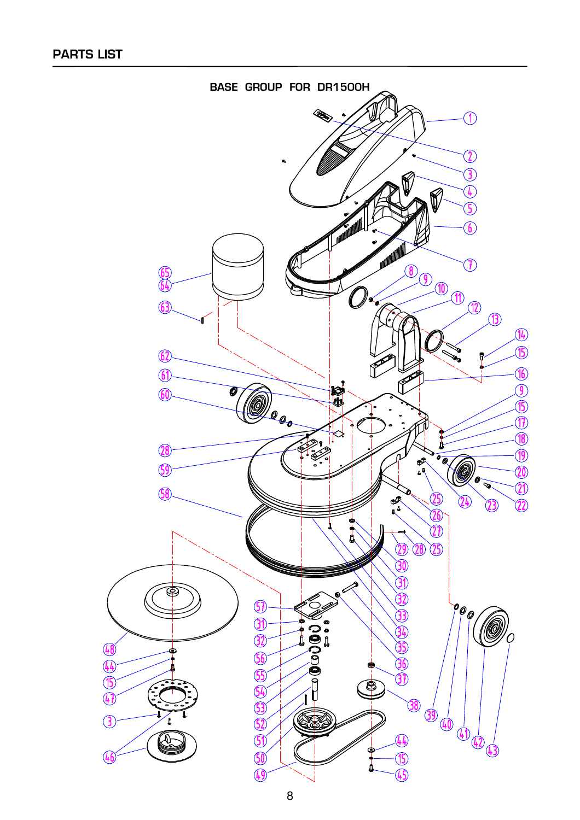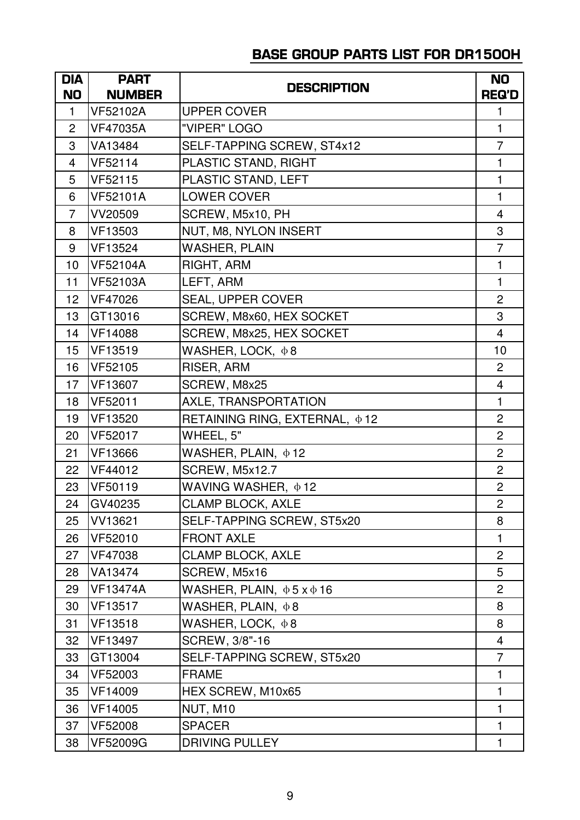### **BASE GROUP PARTS LIST FOR DR1500H**

| <b>DIA</b>     | <b>PART</b>     | <b>DESCRIPTION</b>                  | <b>NO</b>      |
|----------------|-----------------|-------------------------------------|----------------|
| <b>NO</b>      | <b>NUMBER</b>   |                                     | <b>REQ'D</b>   |
| 1              | VF52102A        | <b>UPPER COVER</b>                  |                |
| $\overline{2}$ | VF47035A        | "VIPER" LOGO                        | $\mathbf{1}$   |
| 3              | VA13484         | SELF-TAPPING SCREW, ST4x12          | $\overline{7}$ |
| $\overline{4}$ | VF52114         | PLASTIC STAND, RIGHT                | $\mathbf{1}$   |
| 5              | VF52115         | PLASTIC STAND, LEFT                 | 1              |
| 6              | <b>VF52101A</b> | LOWER COVER                         | 1              |
| $\overline{7}$ | VV20509         | SCREW, M5x10, PH                    | 4              |
| 8              | VF13503         | NUT, M8, NYLON INSERT               | 3              |
| 9              | VF13524         | <b>WASHER, PLAIN</b>                | $\overline{7}$ |
| 10             | <b>VF52104A</b> | RIGHT, ARM                          | 1              |
| 11             | VF52103A        | LEFT, ARM                           | $\mathbf{1}$   |
| 12             | VF47026         | <b>SEAL, UPPER COVER</b>            | $\overline{c}$ |
| 13             | GT13016         | SCREW, M8x60, HEX SOCKET            | 3              |
| 14             | VF14088         | SCREW, M8x25, HEX SOCKET            | $\overline{4}$ |
| 15             | VF13519         | WASHER, LOCK, $\Phi$ 8              | 10             |
| 16             | VF52105         | RISER, ARM                          | $\overline{2}$ |
| 17             | VF13607         | SCREW, M8x25                        | $\overline{4}$ |
| 18             | VF52011         | AXLE, TRANSPORTATION                | 1              |
| 19             | VF13520         | RETAINING RING, EXTERNAL, \$12      | $\overline{c}$ |
| 20             | VF52017         | WHEEL, 5"                           | $\overline{2}$ |
| 21             | <b>VF13666</b>  | WASHER, PLAIN, ¢12                  | $\overline{2}$ |
| 22             | VF44012         | SCREW, M5x12.7                      | $\overline{2}$ |
| 23             | VF50119         | WAVING WASHER, \$12                 | $\overline{2}$ |
| 24             | GV40235         | CLAMP BLOCK, AXLE                   | $\overline{c}$ |
| 25             | VV13621         | SELF-TAPPING SCREW, ST5x20          | 8              |
| 26             | VF52010         | <b>FRONT AXLE</b>                   | 1              |
| 27             | VF47038         | <b>CLAMP BLOCK, AXLE</b>            | $\overline{2}$ |
| 28             | VA13474         | SCREW, M5x16                        | 5              |
| 29             | <b>VF13474A</b> | WASHER, PLAIN, $\phi$ 5 x $\phi$ 16 | $\overline{c}$ |
| 30             | <b>VF13517</b>  | WASHER, PLAIN, $\Phi$ 8             | 8              |
| 31             | VF13518         | WASHER, LOCK, $\Phi$ 8              | 8              |
| 32             | VF13497         | SCREW, 3/8"-16                      | 4              |
| 33             | GT13004         | SELF-TAPPING SCREW, ST5x20          | $\overline{7}$ |
| 34             | VF52003         | <b>FRAME</b>                        | 1              |
| 35             | VF14009         | HEX SCREW, M10x65                   | 1              |
| 36             | VF14005         | NUT, M10                            | 1              |
| 37             | VF52008         | <b>SPACER</b>                       | 1              |
| 38             | VF52009G        | <b>DRIVING PULLEY</b>               | 1              |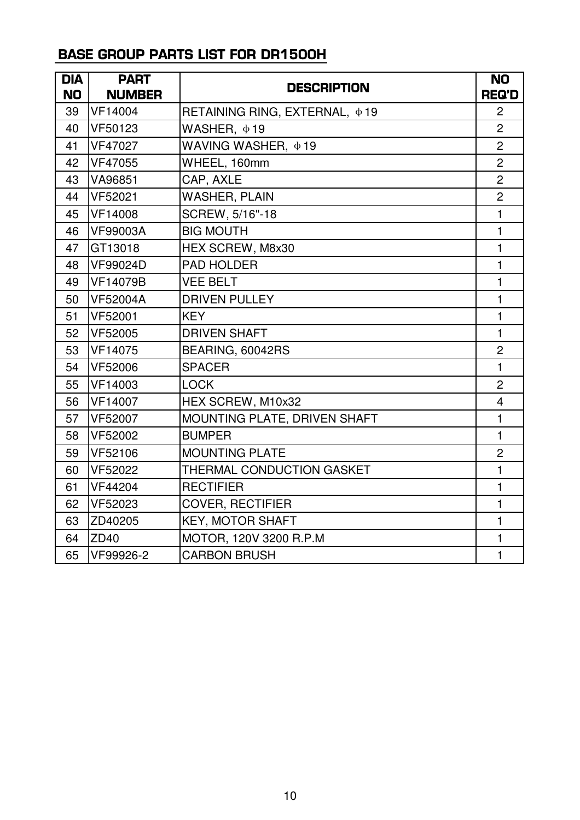## **BASE GROUP PARTS LIST FOR DR1500H**

| <b>DIA</b><br><b>NO</b> | <b>PART</b><br><b>NUMBER</b> | <b>DESCRIPTION</b>             | <b>NO</b><br><b>REQ'D</b> |
|-------------------------|------------------------------|--------------------------------|---------------------------|
| 39                      | VF14004                      | RETAINING RING, EXTERNAL, \$19 | 2                         |
| 40                      | VF50123                      | WASHER, $\Phi$ 19              | $\overline{2}$            |
| 41                      | VF47027                      | WAVING WASHER, \$19            | $\overline{2}$            |
| 42                      | VF47055                      | WHEEL, 160mm                   | $\overline{2}$            |
| 43                      | VA96851                      | CAP, AXLE                      | $\overline{2}$            |
| 44                      | VF52021                      | <b>WASHER, PLAIN</b>           | $\overline{2}$            |
| 45                      | VF14008                      | SCREW, 5/16"-18                | 1                         |
| 46                      | VF99003A                     | <b>BIG MOUTH</b>               | 1                         |
| 47                      | GT13018                      | HEX SCREW, M8x30               | 1                         |
| 48                      | VF99024D                     | <b>PAD HOLDER</b>              | 1                         |
| 49                      | VF14079B                     | <b>VEE BELT</b>                | $\mathbf{1}$              |
| 50                      | <b>VF52004A</b>              | <b>DRIVEN PULLEY</b>           | 1                         |
| 51                      | VF52001                      | <b>KEY</b>                     | 1                         |
| 52                      | VF52005                      | <b>DRIVEN SHAFT</b>            | $\mathbf{1}$              |
| 53                      | VF14075                      | BEARING, 60042RS               | $\overline{2}$            |
| 54                      | VF52006                      | <b>SPACER</b>                  | $\mathbf{1}$              |
| 55                      | VF14003                      | <b>LOCK</b>                    | $\overline{2}$            |
| 56                      | VF14007                      | HEX SCREW, M10x32              | $\overline{4}$            |
| 57                      | VF52007                      | MOUNTING PLATE, DRIVEN SHAFT   | 1                         |
| 58                      | VF52002                      | <b>BUMPER</b>                  | 1                         |
| 59                      | VF52106                      | <b>MOUNTING PLATE</b>          | $\overline{2}$            |
| 60                      | VF52022                      | THERMAL CONDUCTION GASKET      | 1                         |
| 61                      | VF44204                      | <b>RECTIFIER</b>               | 1                         |
| 62                      | VF52023                      | <b>COVER, RECTIFIER</b>        | 1                         |
| 63                      | ZD40205                      | <b>KEY, MOTOR SHAFT</b>        | 1                         |
| 64                      | ZD40                         | MOTOR, 120V 3200 R.P.M         | 1                         |
| 65                      | VF99926-2                    | <b>CARBON BRUSH</b>            | 1                         |